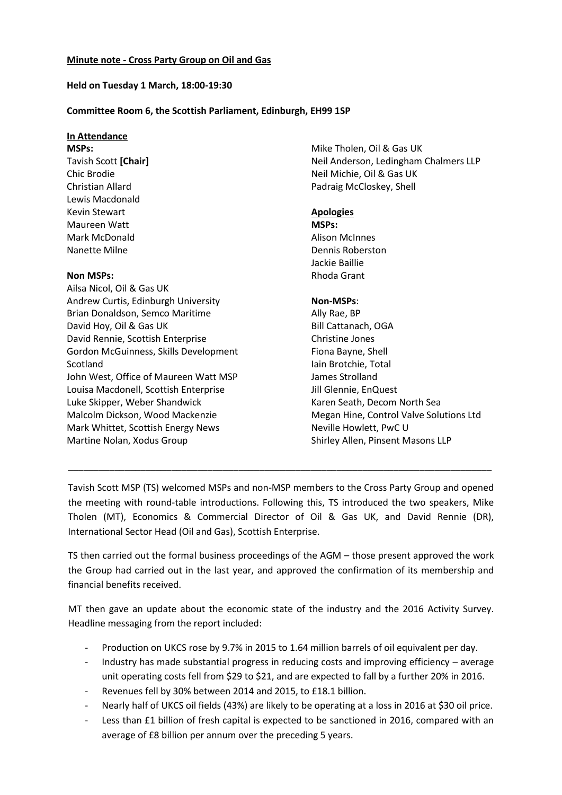#### **Held on Tuesday 1 March, 18:00-19:30**

#### **Committee Room 6, the Scottish Parliament, Edinburgh, EH99 1SP**

# **In Attendance**

**MSPs:** Tavish Scott **[Chair]** Chic Brodie Christian Allard Lewis Macdonald Kevin Stewart Maureen Watt Mark McDonald Nanette Milne

## **Non MSPs:**

Ailsa Nicol, Oil & Gas UK Andrew Curtis, Edinburgh University Brian Donaldson, Semco Maritime David Hoy, Oil & Gas UK David Rennie, Scottish Enterprise Gordon McGuinness, Skills Development Scotland John West, Office of Maureen Watt MSP Louisa Macdonell, Scottish Enterprise Luke Skipper, Weber Shandwick Malcolm Dickson, Wood Mackenzie Mark Whittet, Scottish Energy News Martine Nolan, Xodus Group

Mike Tholen, Oil & Gas UK Neil Anderson, Ledingham Chalmers LLP Neil Michie, Oil & Gas UK Padraig McCloskey, Shell

## **Apologies**

**MSPs:** Alison McInnes Dennis Roberston Jackie Baillie Rhoda Grant

## **Non-MSPs**:

Ally Rae, BP Bill Cattanach, OGA Christine Jones Fiona Bayne, Shell Iain Brotchie, Total James Strolland Jill Glennie, EnQuest Karen Seath, Decom North Sea Megan Hine, Control Valve Solutions Ltd Neville Howlett, PwC U Shirley Allen, Pinsent Masons LLP

Tavish Scott MSP (TS) welcomed MSPs and non-MSP members to the Cross Party Group and opened the meeting with round-table introductions. Following this, TS introduced the two speakers, Mike Tholen (MT), Economics & Commercial Director of Oil & Gas UK, and David Rennie (DR), International Sector Head (Oil and Gas), Scottish Enterprise.

\_\_\_\_\_\_\_\_\_\_\_\_\_\_\_\_\_\_\_\_\_\_\_\_\_\_\_\_\_\_\_\_\_\_\_\_\_\_\_\_\_\_\_\_\_\_\_\_\_\_\_\_\_\_\_\_\_\_\_\_\_\_\_\_\_\_\_\_\_\_\_\_\_\_\_\_\_\_\_\_\_\_

TS then carried out the formal business proceedings of the AGM – those present approved the work the Group had carried out in the last year, and approved the confirmation of its membership and financial benefits received.

MT then gave an update about the economic state of the industry and the 2016 Activity Survey. Headline messaging from the report included:

- Production on UKCS rose by 9.7% in 2015 to 1.64 million barrels of oil equivalent per day.
- Industry has made substantial progress in reducing costs and improving efficiency average unit operating costs fell from \$29 to \$21, and are expected to fall by a further 20% in 2016.
- Revenues fell by 30% between 2014 and 2015, to £18.1 billion.
- Nearly half of UKCS oil fields (43%) are likely to be operating at a loss in 2016 at \$30 oil price.
- Less than £1 billion of fresh capital is expected to be sanctioned in 2016, compared with an average of £8 billion per annum over the preceding 5 years.